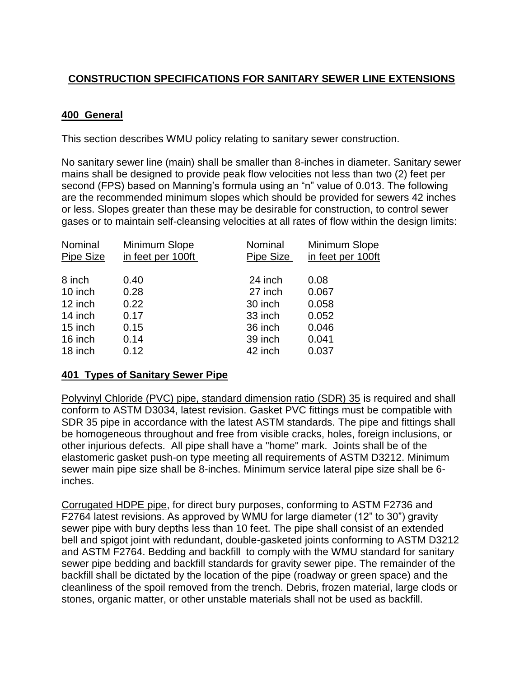# **CONSTRUCTION SPECIFICATIONS FOR SANITARY SEWER LINE EXTENSIONS**

### **400 General**

This section describes WMU policy relating to sanitary sewer construction.

No sanitary sewer line (main) shall be smaller than 8-inches in diameter. Sanitary sewer mains shall be designed to provide peak flow velocities not less than two (2) feet per second (FPS) based on Manning's formula using an "n" value of 0.013. The following are the recommended minimum slopes which should be provided for sewers 42 inches or less. Slopes greater than these may be desirable for construction, to control sewer gases or to maintain self-cleansing velocities at all rates of flow within the design limits:

| Nominal<br>Pipe Size | Minimum Slope<br>in feet per 100ft | Nominal<br>Pipe Size | Minimum Slope<br>in feet per 100ft |  |  |
|----------------------|------------------------------------|----------------------|------------------------------------|--|--|
| 8 inch               | 0.40                               | 24 inch              | 0.08                               |  |  |
| 10 inch              | 0.28                               | 27 inch              | 0.067                              |  |  |
| 12 inch              | 0.22                               | 30 inch              | 0.058                              |  |  |
| 14 inch              | 0.17                               | 33 inch              | 0.052                              |  |  |
| 15 inch              | 0.15                               | 36 inch              | 0.046                              |  |  |
| 16 inch              | 0.14                               | 39 inch              | 0.041                              |  |  |
| 18 inch              | 0.12                               | 42 inch              | 0.037                              |  |  |
|                      |                                    |                      |                                    |  |  |

### **401 Types of Sanitary Sewer Pipe**

Polyvinyl Chloride (PVC) pipe, standard dimension ratio (SDR) 35 is required and shall conform to ASTM D3034, latest revision. Gasket PVC fittings must be compatible with SDR 35 pipe in accordance with the latest ASTM standards. The pipe and fittings shall be homogeneous throughout and free from visible cracks, holes, foreign inclusions, or other injurious defects. All pipe shall have a "home" mark. Joints shall be of the elastomeric gasket push-on type meeting all requirements of ASTM D3212. Minimum sewer main pipe size shall be 8-inches. Minimum service lateral pipe size shall be 6 inches.

Corrugated HDPE pipe, for direct bury purposes, conforming to ASTM F2736 and F2764 latest revisions. As approved by WMU for large diameter (12" to 30") gravity sewer pipe with bury depths less than 10 feet. The pipe shall consist of an extended bell and spigot joint with redundant, double-gasketed joints conforming to ASTM D3212 and ASTM F2764. Bedding and backfill to comply with the WMU standard for sanitary sewer pipe bedding and backfill standards for gravity sewer pipe. The remainder of the backfill shall be dictated by the location of the pipe (roadway or green space) and the cleanliness of the spoil removed from the trench. Debris, frozen material, large clods or stones, organic matter, or other unstable materials shall not be used as backfill.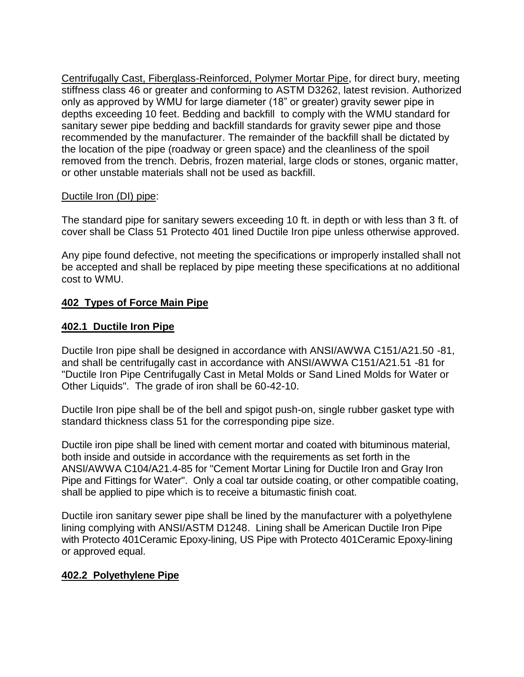Centrifugally Cast, Fiberglass-Reinforced, Polymer Mortar Pipe, for direct bury, meeting stiffness class 46 or greater and conforming to ASTM D3262, latest revision. Authorized only as approved by WMU for large diameter (18" or greater) gravity sewer pipe in depths exceeding 10 feet. Bedding and backfill to comply with the WMU standard for sanitary sewer pipe bedding and backfill standards for gravity sewer pipe and those recommended by the manufacturer. The remainder of the backfill shall be dictated by the location of the pipe (roadway or green space) and the cleanliness of the spoil removed from the trench. Debris, frozen material, large clods or stones, organic matter, or other unstable materials shall not be used as backfill.

### Ductile Iron (DI) pipe:

The standard pipe for sanitary sewers exceeding 10 ft. in depth or with less than 3 ft. of cover shall be Class 51 Protecto 401 lined Ductile Iron pipe unless otherwise approved.

Any pipe found defective, not meeting the specifications or improperly installed shall not be accepted and shall be replaced by pipe meeting these specifications at no additional cost to WMU.

### **402 Types of Force Main Pipe**

### **402.1 Ductile Iron Pipe**

Ductile Iron pipe shall be designed in accordance with ANSI/AWWA C151/A21.50 -81, and shall be centrifugally cast in accordance with ANSI/AWWA C151/A21.51 -81 for "Ductile Iron Pipe Centrifugally Cast in Metal Molds or Sand Lined Molds for Water or Other Liquids". The grade of iron shall be 60-42-10.

Ductile Iron pipe shall be of the bell and spigot push-on, single rubber gasket type with standard thickness class 51 for the corresponding pipe size.

Ductile iron pipe shall be lined with cement mortar and coated with bituminous material, both inside and outside in accordance with the requirements as set forth in the ANSI/AWWA C104/A21.4-85 for "Cement Mortar Lining for Ductile Iron and Gray Iron Pipe and Fittings for Water". Only a coal tar outside coating, or other compatible coating, shall be applied to pipe which is to receive a bitumastic finish coat.

Ductile iron sanitary sewer pipe shall be lined by the manufacturer with a polyethylene lining complying with ANSI/ASTM D1248. Lining shall be American Ductile Iron Pipe with Protecto 401Ceramic Epoxy-lining, US Pipe with Protecto 401Ceramic Epoxy-lining or approved equal.

### **402.2 Polyethylene Pipe**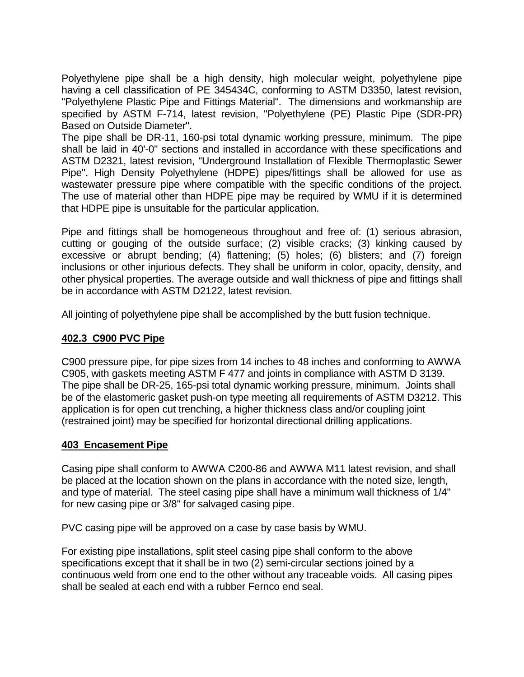Polyethylene pipe shall be a high density, high molecular weight, polyethylene pipe having a cell classification of PE 345434C, conforming to ASTM D3350, latest revision, "Polyethylene Plastic Pipe and Fittings Material". The dimensions and workmanship are specified by ASTM F-714, latest revision, "Polyethylene (PE) Plastic Pipe (SDR-PR) Based on Outside Diameter".

The pipe shall be DR-11, 160-psi total dynamic working pressure, minimum. The pipe shall be laid in 40'-0" sections and installed in accordance with these specifications and ASTM D2321, latest revision, "Underground Installation of Flexible Thermoplastic Sewer Pipe". High Density Polyethylene (HDPE) pipes/fittings shall be allowed for use as wastewater pressure pipe where compatible with the specific conditions of the project. The use of material other than HDPE pipe may be required by WMU if it is determined that HDPE pipe is unsuitable for the particular application.

Pipe and fittings shall be homogeneous throughout and free of: (1) serious abrasion, cutting or gouging of the outside surface; (2) visible cracks; (3) kinking caused by excessive or abrupt bending; (4) flattening; (5) holes; (6) blisters; and (7) foreign inclusions or other injurious defects. They shall be uniform in color, opacity, density, and other physical properties. The average outside and wall thickness of pipe and fittings shall be in accordance with ASTM D2122, latest revision.

All jointing of polyethylene pipe shall be accomplished by the butt fusion technique.

### **402.3 C900 PVC Pipe**

C900 pressure pipe, for pipe sizes from 14 inches to 48 inches and conforming to AWWA C905, with gaskets meeting ASTM F 477 and joints in compliance with ASTM D 3139. The pipe shall be DR-25, 165-psi total dynamic working pressure, minimum. Joints shall be of the elastomeric gasket push-on type meeting all requirements of ASTM D3212. This application is for open cut trenching, a higher thickness class and/or coupling joint (restrained joint) may be specified for horizontal directional drilling applications.

### **403 Encasement Pipe**

Casing pipe shall conform to AWWA C200-86 and AWWA M11 latest revision, and shall be placed at the location shown on the plans in accordance with the noted size, length, and type of material. The steel casing pipe shall have a minimum wall thickness of 1/4" for new casing pipe or 3/8" for salvaged casing pipe.

PVC casing pipe will be approved on a case by case basis by WMU.

For existing pipe installations, split steel casing pipe shall conform to the above specifications except that it shall be in two (2) semi-circular sections joined by a continuous weld from one end to the other without any traceable voids. All casing pipes shall be sealed at each end with a rubber Fernco end seal.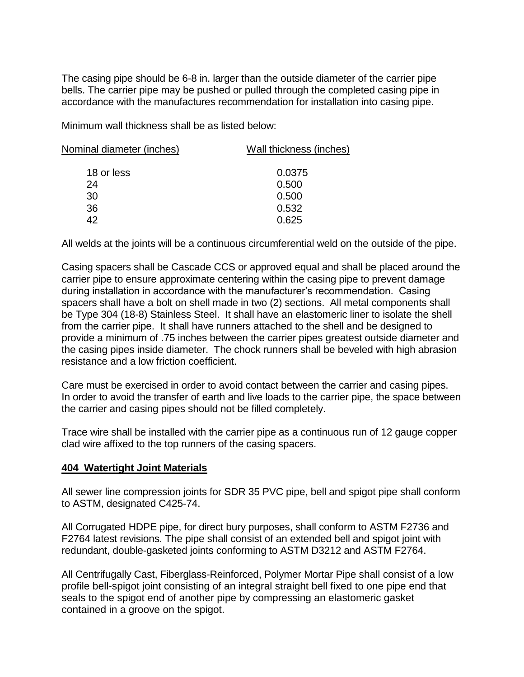The casing pipe should be 6-8 in. larger than the outside diameter of the carrier pipe bells. The carrier pipe may be pushed or pulled through the completed casing pipe in accordance with the manufactures recommendation for installation into casing pipe.

Minimum wall thickness shall be as listed below:

| Nominal diameter (inches) | Wall thickness (inches) |  |  |  |
|---------------------------|-------------------------|--|--|--|
| 18 or less                | 0.0375                  |  |  |  |
| 24                        | 0.500                   |  |  |  |
| 30                        | 0.500                   |  |  |  |
| 36                        | 0.532                   |  |  |  |
| 42                        | 0.625                   |  |  |  |
|                           |                         |  |  |  |

All welds at the joints will be a continuous circumferential weld on the outside of the pipe.

Casing spacers shall be Cascade CCS or approved equal and shall be placed around the carrier pipe to ensure approximate centering within the casing pipe to prevent damage during installation in accordance with the manufacturer's recommendation. Casing spacers shall have a bolt on shell made in two (2) sections. All metal components shall be Type 304 (18-8) Stainless Steel. It shall have an elastomeric liner to isolate the shell from the carrier pipe. It shall have runners attached to the shell and be designed to provide a minimum of .75 inches between the carrier pipes greatest outside diameter and the casing pipes inside diameter. The chock runners shall be beveled with high abrasion resistance and a low friction coefficient.

Care must be exercised in order to avoid contact between the carrier and casing pipes. In order to avoid the transfer of earth and live loads to the carrier pipe, the space between the carrier and casing pipes should not be filled completely.

Trace wire shall be installed with the carrier pipe as a continuous run of 12 gauge copper clad wire affixed to the top runners of the casing spacers.

### **404 Watertight Joint Materials**

All sewer line compression joints for SDR 35 PVC pipe, bell and spigot pipe shall conform to ASTM, designated C425-74.

All Corrugated HDPE pipe, for direct bury purposes, shall conform to ASTM F2736 and F2764 latest revisions. The pipe shall consist of an extended bell and spigot joint with redundant, double-gasketed joints conforming to ASTM D3212 and ASTM F2764.

All Centrifugally Cast, Fiberglass-Reinforced, Polymer Mortar Pipe shall consist of a low profile bell-spigot joint consisting of an integral straight bell fixed to one pipe end that seals to the spigot end of another pipe by compressing an elastomeric gasket contained in a groove on the spigot.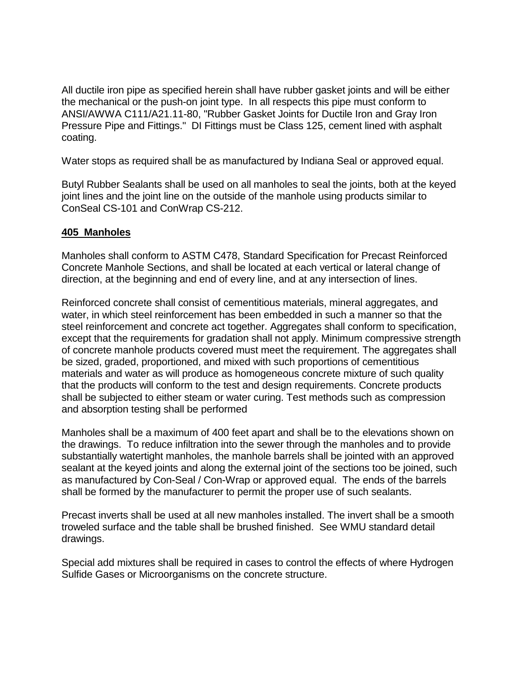All ductile iron pipe as specified herein shall have rubber gasket joints and will be either the mechanical or the push-on joint type. In all respects this pipe must conform to ANSI/AWWA C111/A21.11-80, "Rubber Gasket Joints for Ductile Iron and Gray Iron Pressure Pipe and Fittings." DI Fittings must be Class 125, cement lined with asphalt coating.

Water stops as required shall be as manufactured by Indiana Seal or approved equal.

Butyl Rubber Sealants shall be used on all manholes to seal the joints, both at the keyed joint lines and the joint line on the outside of the manhole using products similar to ConSeal CS-101 and ConWrap CS-212.

### **405 Manholes**

Manholes shall conform to ASTM C478, Standard Specification for Precast Reinforced Concrete Manhole Sections, and shall be located at each vertical or lateral change of direction, at the beginning and end of every line, and at any intersection of lines.

Reinforced concrete shall consist of cementitious materials, mineral aggregates, and water, in which steel reinforcement has been embedded in such a manner so that the steel reinforcement and concrete act together. Aggregates shall conform to specification, except that the requirements for gradation shall not apply. Minimum compressive strength of concrete manhole products covered must meet the requirement. The aggregates shall be sized, graded, proportioned, and mixed with such proportions of cementitious materials and water as will produce as homogeneous concrete mixture of such quality that the products will conform to the test and design requirements. Concrete products shall be subjected to either steam or water curing. Test methods such as compression and absorption testing shall be performed

Manholes shall be a maximum of 400 feet apart and shall be to the elevations shown on the drawings. To reduce infiltration into the sewer through the manholes and to provide substantially watertight manholes, the manhole barrels shall be jointed with an approved sealant at the keyed joints and along the external joint of the sections too be joined, such as manufactured by Con-Seal / Con-Wrap or approved equal. The ends of the barrels shall be formed by the manufacturer to permit the proper use of such sealants.

Precast inverts shall be used at all new manholes installed. The invert shall be a smooth troweled surface and the table shall be brushed finished. See WMU standard detail drawings.

Special add mixtures shall be required in cases to control the effects of where Hydrogen Sulfide Gases or Microorganisms on the concrete structure.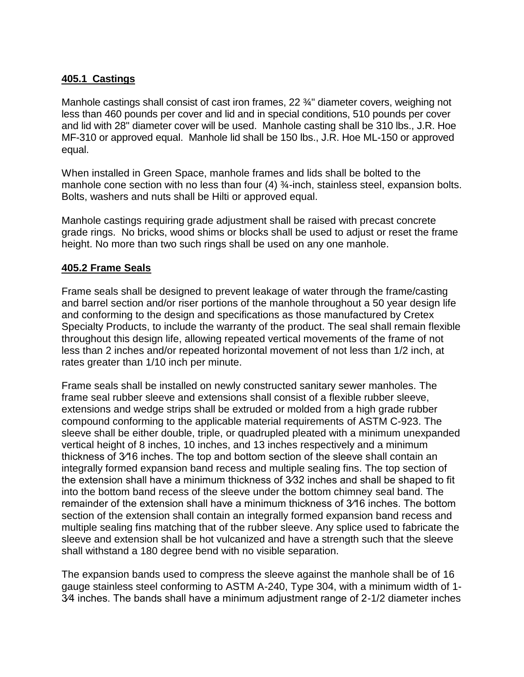### **405.1 Castings**

Manhole castings shall consist of cast iron frames, 22 <sup>3</sup>/<sub>4</sub>" diameter covers, weighing not less than 460 pounds per cover and lid and in special conditions, 510 pounds per cover and lid with 28" diameter cover will be used. Manhole casting shall be 310 lbs., J.R. Hoe MF-310 or approved equal. Manhole lid shall be 150 lbs., J.R. Hoe ML-150 or approved equal.

When installed in Green Space, manhole frames and lids shall be bolted to the manhole cone section with no less than four (4) ¼-inch, stainless steel, expansion bolts. Bolts, washers and nuts shall be Hilti or approved equal.

Manhole castings requiring grade adjustment shall be raised with precast concrete grade rings. No bricks, wood shims or blocks shall be used to adjust or reset the frame height. No more than two such rings shall be used on any one manhole.

### **405.2 Frame Seals**

Frame seals shall be designed to prevent leakage of water through the frame/casting and barrel section and/or riser portions of the manhole throughout a 50 year design life and conforming to the design and specifications as those manufactured by Cretex Specialty Products, to include the warranty of the product. The seal shall remain flexible throughout this design life, allowing repeated vertical movements of the frame of not less than 2 inches and/or repeated horizontal movement of not less than 1/2 inch, at rates greater than 1/10 inch per minute.

Frame seals shall be installed on newly constructed sanitary sewer manholes. The frame seal rubber sleeve and extensions shall consist of a flexible rubber sleeve, extensions and wedge strips shall be extruded or molded from a high grade rubber compound conforming to the applicable material requirements of ASTM C-923. The sleeve shall be either double, triple, or quadrupled pleated with a minimum unexpanded vertical height of 8 inches, 10 inches, and 13 inches respectively and a minimum thickness of 3⁄16 inches. The top and bottom section of the sleeve shall contain an integrally formed expansion band recess and multiple sealing fins. The top section of the extension shall have a minimum thickness of 3⁄32 inches and shall be shaped to fit into the bottom band recess of the sleeve under the bottom chimney seal band. The remainder of the extension shall have a minimum thickness of 3⁄16 inches. The bottom section of the extension shall contain an integrally formed expansion band recess and multiple sealing fins matching that of the rubber sleeve. Any splice used to fabricate the sleeve and extension shall be hot vulcanized and have a strength such that the sleeve shall withstand a 180 degree bend with no visible separation.

The expansion bands used to compress the sleeve against the manhole shall be of 16 gauge stainless steel conforming to ASTM A-240, Type 304, with a minimum width of 1- 3⁄4 inches. The bands shall have a minimum adjustment range of 2-1/2 diameter inches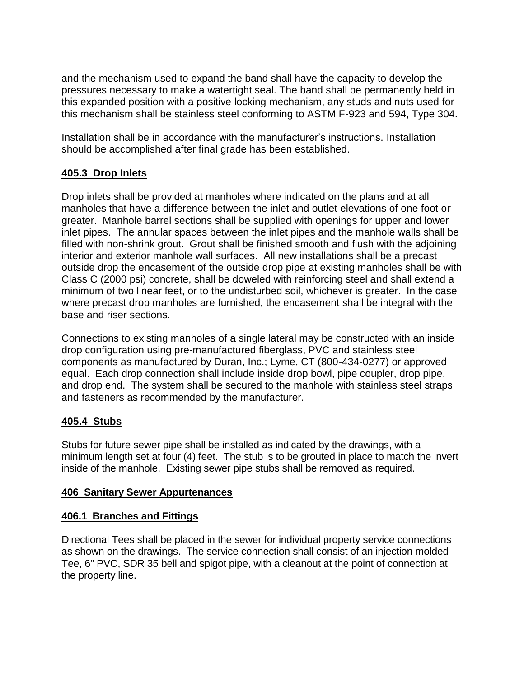and the mechanism used to expand the band shall have the capacity to develop the pressures necessary to make a watertight seal. The band shall be permanently held in this expanded position with a positive locking mechanism, any studs and nuts used for this mechanism shall be stainless steel conforming to ASTM F-923 and 594, Type 304.

Installation shall be in accordance with the manufacturer's instructions. Installation should be accomplished after final grade has been established.

## **405.3 Drop Inlets**

Drop inlets shall be provided at manholes where indicated on the plans and at all manholes that have a difference between the inlet and outlet elevations of one foot or greater. Manhole barrel sections shall be supplied with openings for upper and lower inlet pipes. The annular spaces between the inlet pipes and the manhole walls shall be filled with non-shrink grout. Grout shall be finished smooth and flush with the adjoining interior and exterior manhole wall surfaces. All new installations shall be a precast outside drop the encasement of the outside drop pipe at existing manholes shall be with Class C (2000 psi) concrete, shall be doweled with reinforcing steel and shall extend a minimum of two linear feet, or to the undisturbed soil, whichever is greater. In the case where precast drop manholes are furnished, the encasement shall be integral with the base and riser sections.

Connections to existing manholes of a single lateral may be constructed with an inside drop configuration using pre-manufactured fiberglass, PVC and stainless steel components as manufactured by Duran, Inc.; Lyme, CT (800-434-0277) or approved equal. Each drop connection shall include inside drop bowl, pipe coupler, drop pipe, and drop end. The system shall be secured to the manhole with stainless steel straps and fasteners as recommended by the manufacturer.

## **405.4 Stubs**

Stubs for future sewer pipe shall be installed as indicated by the drawings, with a minimum length set at four (4) feet. The stub is to be grouted in place to match the invert inside of the manhole. Existing sewer pipe stubs shall be removed as required.

## **406 Sanitary Sewer Appurtenances**

## **406.1 Branches and Fittings**

Directional Tees shall be placed in the sewer for individual property service connections as shown on the drawings. The service connection shall consist of an injection molded Tee, 6" PVC, SDR 35 bell and spigot pipe, with a cleanout at the point of connection at the property line.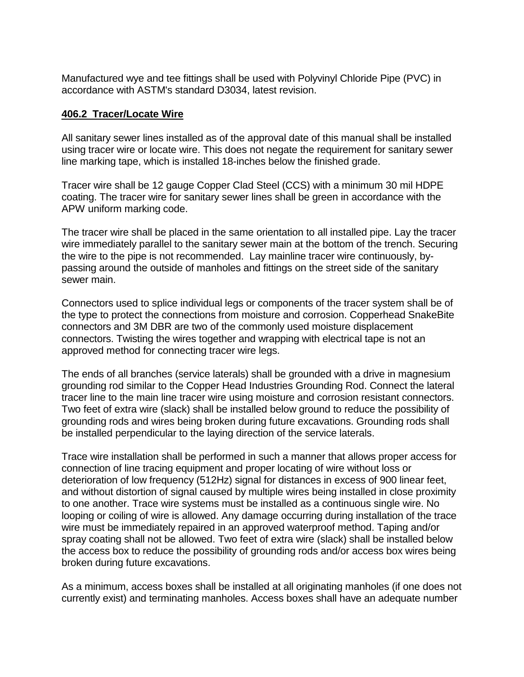Manufactured wye and tee fittings shall be used with Polyvinyl Chloride Pipe (PVC) in accordance with ASTM's standard D3034, latest revision.

#### **406.2 Tracer/Locate Wire**

All sanitary sewer lines installed as of the approval date of this manual shall be installed using tracer wire or locate wire. This does not negate the requirement for sanitary sewer line marking tape, which is installed 18-inches below the finished grade.

Tracer wire shall be 12 gauge Copper Clad Steel (CCS) with a minimum 30 mil HDPE coating. The tracer wire for sanitary sewer lines shall be green in accordance with the APW uniform marking code.

The tracer wire shall be placed in the same orientation to all installed pipe. Lay the tracer wire immediately parallel to the sanitary sewer main at the bottom of the trench. Securing the wire to the pipe is not recommended. Lay mainline tracer wire continuously, bypassing around the outside of manholes and fittings on the street side of the sanitary sewer main.

Connectors used to splice individual legs or components of the tracer system shall be of the type to protect the connections from moisture and corrosion. Copperhead SnakeBite connectors and 3M DBR are two of the commonly used moisture displacement connectors. Twisting the wires together and wrapping with electrical tape is not an approved method for connecting tracer wire legs.

The ends of all branches (service laterals) shall be grounded with a drive in magnesium grounding rod similar to the Copper Head Industries Grounding Rod. Connect the lateral tracer line to the main line tracer wire using moisture and corrosion resistant connectors. Two feet of extra wire (slack) shall be installed below ground to reduce the possibility of grounding rods and wires being broken during future excavations. Grounding rods shall be installed perpendicular to the laying direction of the service laterals.

Trace wire installation shall be performed in such a manner that allows proper access for connection of line tracing equipment and proper locating of wire without loss or deterioration of low frequency (512Hz) signal for distances in excess of 900 linear feet, and without distortion of signal caused by multiple wires being installed in close proximity to one another. Trace wire systems must be installed as a continuous single wire. No looping or coiling of wire is allowed. Any damage occurring during installation of the trace wire must be immediately repaired in an approved waterproof method. Taping and/or spray coating shall not be allowed. Two feet of extra wire (slack) shall be installed below the access box to reduce the possibility of grounding rods and/or access box wires being broken during future excavations.

As a minimum, access boxes shall be installed at all originating manholes (if one does not currently exist) and terminating manholes. Access boxes shall have an adequate number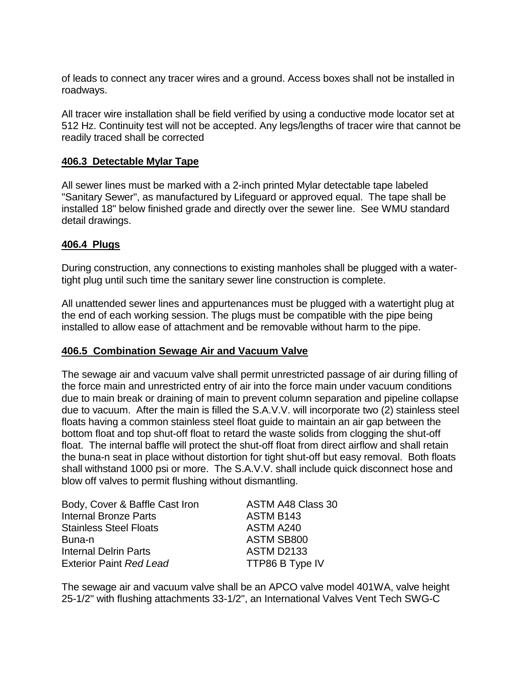of leads to connect any tracer wires and a ground. Access boxes shall not be installed in roadways.

All tracer wire installation shall be field verified by using a conductive mode locator set at 512 Hz. Continuity test will not be accepted. Any legs/lengths of tracer wire that cannot be readily traced shall be corrected

### **406.3 Detectable Mylar Tape**

All sewer lines must be marked with a 2-inch printed Mylar detectable tape labeled "Sanitary Sewer", as manufactured by Lifeguard or approved equal. The tape shall be installed 18" below finished grade and directly over the sewer line. See WMU standard detail drawings.

### **406.4 Plugs**

During construction, any connections to existing manholes shall be plugged with a watertight plug until such time the sanitary sewer line construction is complete.

All unattended sewer lines and appurtenances must be plugged with a watertight plug at the end of each working session. The plugs must be compatible with the pipe being installed to allow ease of attachment and be removable without harm to the pipe.

### **406.5 Combination Sewage Air and Vacuum Valve**

The sewage air and vacuum valve shall permit unrestricted passage of air during filling of the force main and unrestricted entry of air into the force main under vacuum conditions due to main break or draining of main to prevent column separation and pipeline collapse due to vacuum. After the main is filled the S.A.V.V. will incorporate two (2) stainless steel floats having a common stainless steel float guide to maintain an air gap between the bottom float and top shut-off float to retard the waste solids from clogging the shut-off float. The internal baffle will protect the shut-off float from direct airflow and shall retain the buna-n seat in place without distortion for tight shut-off but easy removal. Both floats shall withstand 1000 psi or more. The S.A.V.V. shall include quick disconnect hose and blow off valves to permit flushing without dismantling.

| Body, Cover & Baffle Cast Iron | ASTM A48 Class 30 |
|--------------------------------|-------------------|
| <b>Internal Bronze Parts</b>   | ASTM B143         |
| <b>Stainless Steel Floats</b>  | ASTM A240         |
| Buna-n                         | ASTM SB800        |
| <b>Internal Delrin Parts</b>   | <b>ASTM D2133</b> |
| <b>Exterior Paint Red Lead</b> | TTP86 B Type IV   |

The sewage air and vacuum valve shall be an APCO valve model 401WA, valve height 25-1/2" with flushing attachments 33-1/2", an International Valves Vent Tech SWG-C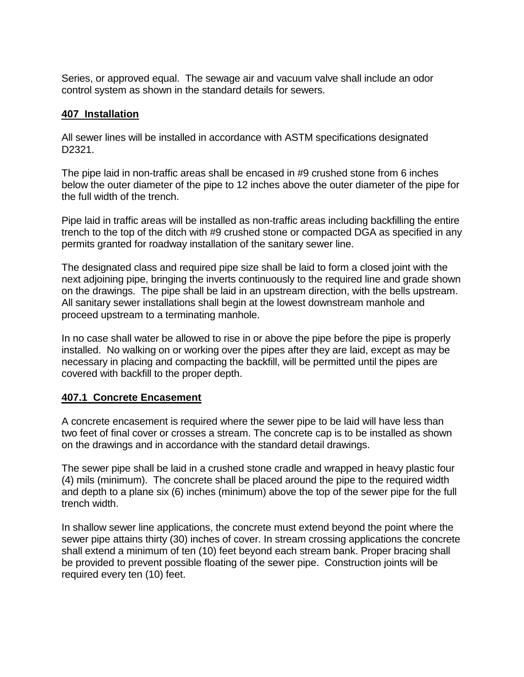Series, or approved equal. The sewage air and vacuum valve shall include an odor control system as shown in the standard details for sewers.

### **407 Installation**

All sewer lines will be installed in accordance with ASTM specifications designated D2321.

The pipe laid in non-traffic areas shall be encased in #9 crushed stone from 6 inches below the outer diameter of the pipe to 12 inches above the outer diameter of the pipe for the full width of the trench.

Pipe laid in traffic areas will be installed as non-traffic areas including backfilling the entire trench to the top of the ditch with #9 crushed stone or compacted DGA as specified in any permits granted for roadway installation of the sanitary sewer line.

The designated class and required pipe size shall be laid to form a closed joint with the next adjoining pipe, bringing the inverts continuously to the required line and grade shown on the drawings. The pipe shall be laid in an upstream direction, with the bells upstream. All sanitary sewer installations shall begin at the lowest downstream manhole and proceed upstream to a terminating manhole.

In no case shall water be allowed to rise in or above the pipe before the pipe is properly installed. No walking on or working over the pipes after they are laid, except as may be necessary in placing and compacting the backfill, will be permitted until the pipes are covered with backfill to the proper depth.

### **407.1 Concrete Encasement**

A concrete encasement is required where the sewer pipe to be laid will have less than two feet of final cover or crosses a stream. The concrete cap is to be installed as shown on the drawings and in accordance with the standard detail drawings.

The sewer pipe shall be laid in a crushed stone cradle and wrapped in heavy plastic four (4) mils (minimum). The concrete shall be placed around the pipe to the required width and depth to a plane six (6) inches (minimum) above the top of the sewer pipe for the full trench width.

In shallow sewer line applications, the concrete must extend beyond the point where the sewer pipe attains thirty (30) inches of cover. In stream crossing applications the concrete shall extend a minimum of ten (10) feet beyond each stream bank. Proper bracing shall be provided to prevent possible floating of the sewer pipe. Construction joints will be required every ten (10) feet.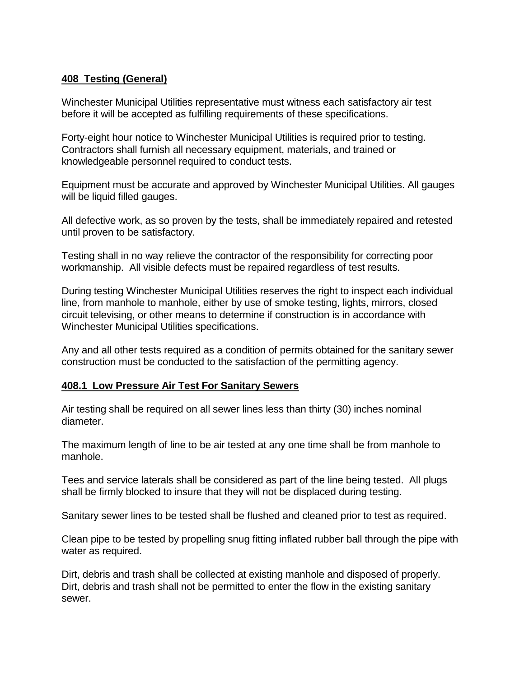### **408 Testing (General)**

Winchester Municipal Utilities representative must witness each satisfactory air test before it will be accepted as fulfilling requirements of these specifications.

Forty-eight hour notice to Winchester Municipal Utilities is required prior to testing. Contractors shall furnish all necessary equipment, materials, and trained or knowledgeable personnel required to conduct tests.

Equipment must be accurate and approved by Winchester Municipal Utilities. All gauges will be liquid filled gauges.

All defective work, as so proven by the tests, shall be immediately repaired and retested until proven to be satisfactory.

Testing shall in no way relieve the contractor of the responsibility for correcting poor workmanship. All visible defects must be repaired regardless of test results.

During testing Winchester Municipal Utilities reserves the right to inspect each individual line, from manhole to manhole, either by use of smoke testing, lights, mirrors, closed circuit televising, or other means to determine if construction is in accordance with Winchester Municipal Utilities specifications.

Any and all other tests required as a condition of permits obtained for the sanitary sewer construction must be conducted to the satisfaction of the permitting agency.

### **408.1 Low Pressure Air Test For Sanitary Sewers**

Air testing shall be required on all sewer lines less than thirty (30) inches nominal diameter.

The maximum length of line to be air tested at any one time shall be from manhole to manhole.

Tees and service laterals shall be considered as part of the line being tested. All plugs shall be firmly blocked to insure that they will not be displaced during testing.

Sanitary sewer lines to be tested shall be flushed and cleaned prior to test as required.

Clean pipe to be tested by propelling snug fitting inflated rubber ball through the pipe with water as required.

Dirt, debris and trash shall be collected at existing manhole and disposed of properly. Dirt, debris and trash shall not be permitted to enter the flow in the existing sanitary sewer.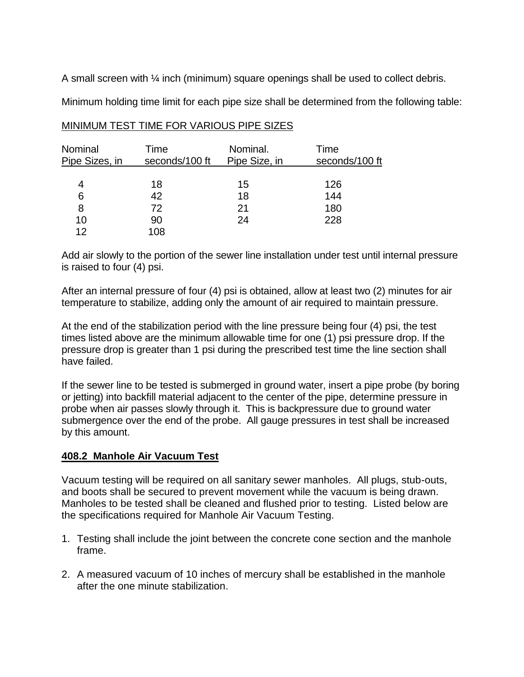A small screen with ¼ inch (minimum) square openings shall be used to collect debris.

Minimum holding time limit for each pipe size shall be determined from the following table:

| Nominal<br>Pipe Sizes, in | Time<br>seconds/100 ft | Nominal.<br>Pipe Size, in | Time<br>seconds/100 ft |  |  |
|---------------------------|------------------------|---------------------------|------------------------|--|--|
|                           |                        |                           |                        |  |  |
| 4                         | 18                     | 15                        | 126                    |  |  |
| 6                         | 42                     | 18                        | 144                    |  |  |
| 8                         | 72                     | 21                        | 180                    |  |  |
| 10                        | 90                     | 24                        | 228                    |  |  |
| 12                        | 108                    |                           |                        |  |  |

#### MINIMUM TEST TIME FOR VARIOUS PIPE SIZES

Add air slowly to the portion of the sewer line installation under test until internal pressure is raised to four (4) psi.

After an internal pressure of four (4) psi is obtained, allow at least two (2) minutes for air temperature to stabilize, adding only the amount of air required to maintain pressure.

At the end of the stabilization period with the line pressure being four (4) psi, the test times listed above are the minimum allowable time for one (1) psi pressure drop. If the pressure drop is greater than 1 psi during the prescribed test time the line section shall have failed.

If the sewer line to be tested is submerged in ground water, insert a pipe probe (by boring or jetting) into backfill material adjacent to the center of the pipe, determine pressure in probe when air passes slowly through it. This is backpressure due to ground water submergence over the end of the probe. All gauge pressures in test shall be increased by this amount.

### **408.2 Manhole Air Vacuum Test**

Vacuum testing will be required on all sanitary sewer manholes. All plugs, stub-outs, and boots shall be secured to prevent movement while the vacuum is being drawn. Manholes to be tested shall be cleaned and flushed prior to testing. Listed below are the specifications required for Manhole Air Vacuum Testing.

- 1. Testing shall include the joint between the concrete cone section and the manhole frame.
- 2. A measured vacuum of 10 inches of mercury shall be established in the manhole after the one minute stabilization.